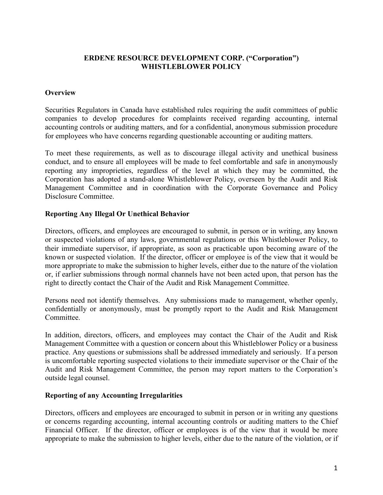## **ERDENE RESOURCE DEVELOPMENT CORP. ("Corporation") WHISTLEBLOWER POLICY**

# **Overview**

Securities Regulators in Canada have established rules requiring the audit committees of public companies to develop procedures for complaints received regarding accounting, internal accounting controls or auditing matters, and for a confidential, anonymous submission procedure for employees who have concerns regarding questionable accounting or auditing matters.

To meet these requirements, as well as to discourage illegal activity and unethical business conduct, and to ensure all employees will be made to feel comfortable and safe in anonymously reporting any improprieties, regardless of the level at which they may be committed, the Corporation has adopted a stand-alone Whistleblower Policy, overseen by the Audit and Risk Management Committee and in coordination with the Corporate Governance and Policy Disclosure Committee.

# **Reporting Any Illegal Or Unethical Behavior**

Directors, officers, and employees are encouraged to submit, in person or in writing, any known or suspected violations of any laws, governmental regulations or this Whistleblower Policy, to their immediate supervisor, if appropriate, as soon as practicable upon becoming aware of the known or suspected violation. If the director, officer or employee is of the view that it would be more appropriate to make the submission to higher levels, either due to the nature of the violation or, if earlier submissions through normal channels have not been acted upon, that person has the right to directly contact the Chair of the Audit and Risk Management Committee.

Persons need not identify themselves. Any submissions made to management, whether openly, confidentially or anonymously, must be promptly report to the Audit and Risk Management Committee.

In addition, directors, officers, and employees may contact the Chair of the Audit and Risk Management Committee with a question or concern about this Whistleblower Policy or a business practice. Any questions or submissions shall be addressed immediately and seriously. If a person is uncomfortable reporting suspected violations to their immediate supervisor or the Chair of the Audit and Risk Management Committee, the person may report matters to the Corporation's outside legal counsel.

## **Reporting of any Accounting Irregularities**

Directors, officers and employees are encouraged to submit in person or in writing any questions or concerns regarding accounting, internal accounting controls or auditing matters to the Chief Financial Officer. If the director, officer or employees is of the view that it would be more appropriate to make the submission to higher levels, either due to the nature of the violation, or if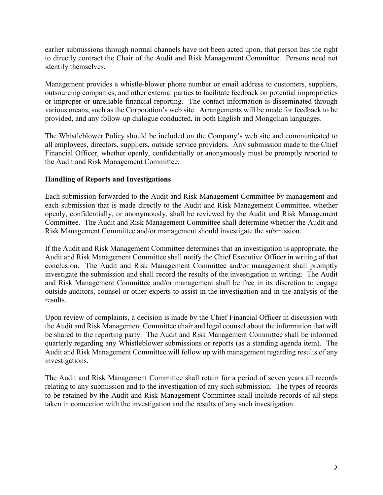earlier submissions through normal channels have not been acted upon, that person has the right to directly contract the Chair of the Audit and Risk Management Committee. Persons need not identify themselves.

Management provides a whistle-blower phone number or email address to customers, suppliers, outsourcing companies, and other external parties to facilitate feedback on potential improprieties or improper or unreliable financial reporting. The contact information is disseminated through various means, such as the Corporation's web site. Arrangements will be made for feedback to be provided, and any follow-up dialogue conducted, in both English and Mongolian languages.

The Whistleblower Policy should be included on the Company's web site and communicated to all employees, directors, suppliers, outside service providers. Any submission made to the Chief Financial Officer, whether openly, confidentially or anonymously must be promptly reported to the Audit and Risk Management Committee.

### **Handling of Reports and Investigations**

Each submission forwarded to the Audit and Risk Management Committee by management and each submission that is made directly to the Audit and Risk Management Committee, whether openly, confidentially, or anonymously, shall be reviewed by the Audit and Risk Management Committee. The Audit and Risk Management Committee shall determine whether the Audit and Risk Management Committee and/or management should investigate the submission.

If the Audit and Risk Management Committee determines that an investigation is appropriate, the Audit and Risk Management Committee shall notify the Chief Executive Officer in writing of that conclusion. The Audit and Risk Management Committee and/or management shall promptly investigate the submission and shall record the results of the investigation in writing. The Audit and Risk Management Committee and/or management shall be free in its discretion to engage outside auditors, counsel or other experts to assist in the investigation and in the analysis of the results.

Upon review of complaints, a decision is made by the Chief Financial Officer in discussion with the Audit and Risk Management Committee chair and legal counsel about the information that will be shared to the reporting party. The Audit and Risk Management Committee shall be informed quarterly regarding any Whistleblower submissions or reports (as a standing agenda item). The Audit and Risk Management Committee will follow up with management regarding results of any investigations.

The Audit and Risk Management Committee shall retain for a period of seven years all records relating to any submission and to the investigation of any such submission. The types of records to be retained by the Audit and Risk Management Committee shall include records of all steps taken in connection with the investigation and the results of any such investigation.